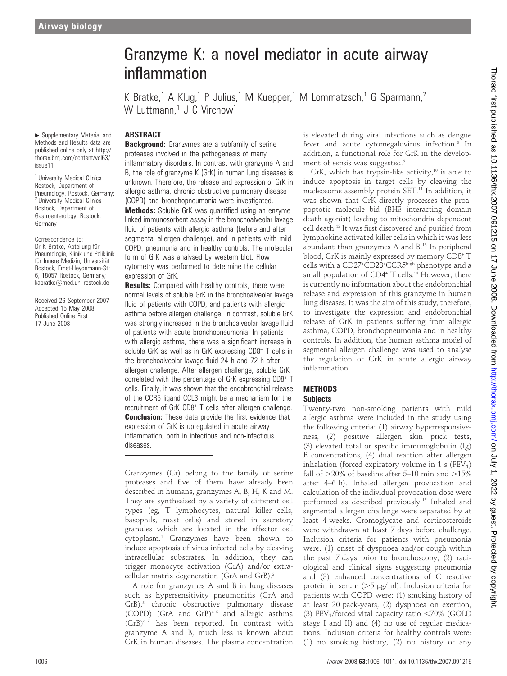#### $\blacktriangleright$  Supplementary Material and Methods and Results data are published online only at http:// thorax.bmj.com/content/vol63/ issue11

<sup>1</sup> University Medical Clinics Rostock, Department of Pneumology, Rostock, Germany; <sup>2</sup> University Medical Clinics Rostock, Department of Gastroenterology, Rostock, Germany

Correspondence to: Dr K Bratke, Abteilung für Pneumologie, Klinik und Poliklinik für Innere Medizin, Universität Rostock, Ernst-Heydemann-Str 6, 18057 Rostock, Germany; kabratke@med.uni-rostock.de

Received 26 September 2007 Accepted 15 May 2008 Published Online First 17 June 2008

# Granzyme K: a novel mediator in acute airway inflammation

K Bratke,<sup>1</sup> A Klug,<sup>1</sup> P Julius,<sup>1</sup> M Kuepper,<sup>1</sup> M Lommatzsch,<sup>1</sup> G Sparmann,<sup>2</sup> W Luttmann.<sup>1</sup> J C Virchow<sup>1</sup>

## ABSTRACT

**Background:** Granzymes are a subfamily of serine proteases involved in the pathogenesis of many inflammatory disorders. In contrast with granzyme A and B, the role of granzyme K (GrK) in human lung diseases is unknown. Therefore, the release and expression of GrK in allergic asthma, chronic obstructive pulmonary disease (COPD) and bronchopneumonia were investigated. Methods: Soluble GrK was quantified using an enzyme linked immunosorbent assay in the bronchoalveolar lavage fluid of patients with allergic asthma (before and after segmental allergen challenge), and in patients with mild COPD, pneumonia and in healthy controls. The molecular form of GrK was analysed by western blot. Flow cytometry was performed to determine the cellular

expression of GrK. **Results:** Compared with healthy controls, there were normal levels of soluble GrK in the bronchoalveolar lavage fluid of patients with COPD, and patients with allergic asthma before allergen challenge. In contrast, soluble GrK was strongly increased in the bronchoalveolar lavage fluid of patients with acute bronchopneumonia. In patients with allergic asthma, there was a significant increase in soluble GrK as well as in GrK expressing CD8<sup>+</sup> T cells in the bronchoalveolar lavage fluid 24 h and 72 h after allergen challenge. After allergen challenge, soluble GrK correlated with the percentage of GrK expressing CD8<sup>+</sup> T cells. Finally, it was shown that the endobronchial release of the CCR5 ligand CCL3 might be a mechanism for the recruitment of GrK<sup>+</sup> CD8<sup>+</sup> T cells after allergen challenge. **Conclusion:** These data provide the first evidence that expression of GrK is upregulated in acute airway inflammation, both in infectious and non-infectious diseases.

Granzymes (Gr) belong to the family of serine proteases and five of them have already been described in humans, granzymes A, B, H, K and M. They are synthesised by a variety of different cell types (eg, T lymphocytes, natural killer cells, basophils, mast cells) and stored in secretory granules which are located in the effector cell cytoplasm.1 Granzymes have been shown to induce apoptosis of virus infected cells by cleaving intracellular substrates. In addition, they can trigger monocyte activation (GrA) and/or extracellular matrix degeneration (GrA and GrB).<sup>2</sup>

A role for granzymes A and B in lung diseases such as hypersensitivity pneumonitis (GrA and GrB),<sup>3</sup> chronic obstructive pulmonary disease (COPD) (GrA and GrB)<sup>45</sup> and allergic asthma  $(GrB)^{67}$  has been reported. In contrast with granzyme A and B, much less is known about GrK in human diseases. The plasma concentration

is elevated during viral infections such as dengue fever and acute cytomegalovirus infection.<sup>8</sup> In addition, a functional role for GrK in the development of sepsis was suggested.9

GrK, which has trypsin-like activity, $10$  is able to induce apoptosis in target cells by cleaving the nucleosome assembly protein SET.11 In addition, it was shown that GrK directly processes the proapoptotic molecule bid (BH3 interacting domain death agonist) leading to mitochondria dependent cell death.12 It was first discovered and purified from lymphokine activated killer cells in which it was less abundant than granzymes A and B.13 In peripheral blood, GrK is mainly expressed by memory CD8<sup>+</sup> T cells with a CD27<sup>+</sup>CD28<sup>+</sup>CCR5high phenotype and a small population of CD4<sup>+</sup> T cells.<sup>14</sup> However, there is currently no information about the endobronchial release and expression of this granzyme in human lung diseases. It was the aim of this study, therefore, to investigate the expression and endobronchial release of GrK in patients suffering from allergic asthma, COPD, bronchopneumonia and in healthy controls. In addition, the human asthma model of segmental allergen challenge was used to analyse the regulation of GrK in acute allergic airway inflammation.

### **METHODS**

### **Subjects**

Twenty-two non-smoking patients with mild allergic asthma were included in the study using the following criteria: (1) airway hyperresponsiveness, (2) positive allergen skin prick tests, (3) elevated total or specific immunoglobulin (Ig) E concentrations, (4) dual reaction after allergen inhalation (forced expiratory volume in 1 s  $(FEV_1)$ ) fall of  $>$ 20% of baseline after 5–10 min and  $>$ 15% after 4–6 h). Inhaled allergen provocation and calculation of the individual provocation dose were performed as described previously.15 Inhaled and segmental allergen challenge were separated by at least 4 weeks. Cromoglycate and corticosteroids were withdrawn at least 7 days before challenge. Inclusion criteria for patients with pneumonia were: (1) onset of dyspnoea and/or cough within the past 7 days prior to bronchoscopy, (2) radiological and clinical signs suggesting pneumonia and (3) enhanced concentrations of C reactive protein in serum ( $>5 \mu g/ml$ ). Inclusion criteria for patients with COPD were: (1) smoking history of at least 20 pack-years, (2) dyspnoea on exertion, (3) FEV<sub>1</sub>/forced vital capacity ratio  $<$  70% (GOLD stage I and II) and (4) no use of regular medications. Inclusion criteria for healthy controls were: (1) no smoking history, (2) no history of any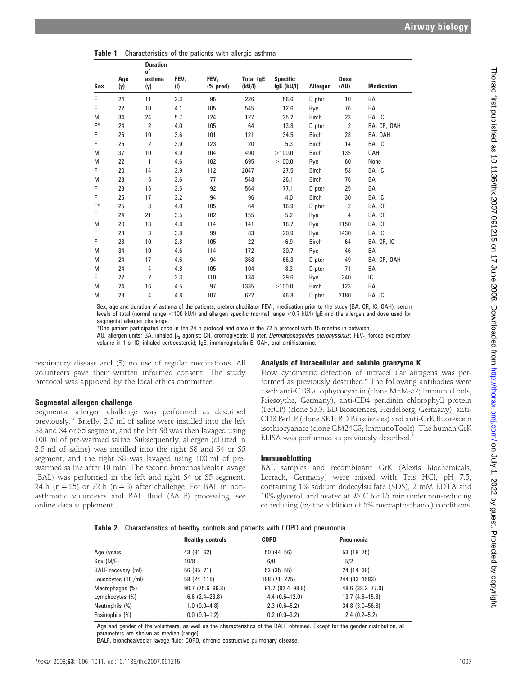|  | Table 1 Characteristics of the patients with allergic asthma |  |  |  |  |  |  |
|--|--------------------------------------------------------------|--|--|--|--|--|--|
|--|--------------------------------------------------------------|--|--|--|--|--|--|

| <b>Sex</b> | Age<br>(y) | <b>Duration</b><br>of<br>asthma<br>(y) | FEV <sub>1</sub><br>(1) | FEV <sub>1</sub><br>$(% \mathbf{p}^{\prime }\mathbf{q})$ (% pred) | <b>Total IgE</b><br>(kU/I) | <b>Specific</b><br>$lgE$ (kU/l) | Allergen     | <b>Dose</b><br>(AU) | <b>Medication</b> |
|------------|------------|----------------------------------------|-------------------------|-------------------------------------------------------------------|----------------------------|---------------------------------|--------------|---------------------|-------------------|
| F          | 24         | 11                                     | 3.3                     | 95                                                                | 226                        | 56.6                            | D pter       | 10                  | BA                |
| F          | 22         | 10                                     | 4.1                     | 105                                                               | 545                        | 12.6                            | Rye          | 76                  | BA                |
| M          | 34         | 24                                     | 5.7                     | 124                                                               | 127                        | 35.2                            | Birch        | 23                  | BA, IC            |
| F*         | 24         | 2                                      | 4.0                     | 105                                                               | 64                         | 13.8                            | D pter       | $\overline{2}$      | BA, CR, OAH       |
| F          | 26         | 10                                     | 3.6                     | 101                                                               | 121                        | 34.5                            | <b>Birch</b> | 28                  | BA, OAH           |
| F          | 25         | 2                                      | 3.9                     | 123                                                               | 20                         | 5.3                             | <b>Birch</b> | 14                  | BA, IC            |
| M          | 37         | 10                                     | 4.9                     | 104                                                               | 490                        | >100.0                          | <b>Birch</b> | 135                 | 0AH               |
| M          | 22         | 1                                      | 4.6                     | 102                                                               | 695                        | >100.0                          | Rye          | 60                  | None              |
| F          | 20         | 14                                     | 3.9                     | 112                                                               | 2047                       | 27.5                            | <b>Birch</b> | 53                  | BA, IC            |
| M          | 23         | 5                                      | 3.6                     | 77                                                                | 548                        | 26.1                            | <b>Birch</b> | 76                  | BA                |
| F          | 23         | 15                                     | 3.5                     | 92                                                                | 564                        | 77.1                            | D pter       | 25                  | BA                |
| F          | 25         | 17                                     | 3.2                     | 94                                                                | 96                         | 4.0                             | <b>Birch</b> | 30                  | BA, IC            |
| F*         | 25         | 3                                      | 4.0                     | 105                                                               | 64                         | 16.9                            | D pter       | $\overline{2}$      | BA, CR            |
| F          | 24         | 21                                     | 3.5                     | 102                                                               | 155                        | 5.2                             | Rye          | 4                   | BA, CR            |
| M          | 20         | 13                                     | 4.8                     | 114                                                               | 141                        | 18.7                            | Rye          | 1150                | BA, CR            |
| F          | 23         | 3                                      | 3.8                     | 99                                                                | 83                         | 20.9                            | Rye          | 1430                | BA, IC            |
| F          | 28         | 10                                     | 2.8                     | 105                                                               | 22                         | 6.9                             | <b>Birch</b> | 64                  | BA, CR, IC        |
| M          | 34         | 10                                     | 4.6                     | 114                                                               | 172                        | 30.7                            | Rye          | 46                  | BA                |
| M          | 24         | 17                                     | 4.6                     | 94                                                                | 368                        | 66.3                            | D pter       | 49                  | BA, CR, OAH       |
| M          | 24         | 4                                      | 4.8                     | 105                                                               | 104                        | 8.3                             | D pter       | 71                  | BA                |
| F          | 22         | 2                                      | 3.3                     | 110                                                               | 134                        | 39.6                            | Rye          | 340                 | IC                |
| M          | 24         | 16                                     | 4.5                     | 97                                                                | 1335                       | >100.0                          | <b>Birch</b> | 123                 | BA                |
| M          | 23         | 4                                      | 4.8                     | 107                                                               | 622                        | 46.8                            | D pter       | 2180                | BA, IC            |

Sex, age and duration of asthma of the patients, prebronchodilator FEV<sub>1</sub>, medication prior to the study (BA, CR, IC, OAH), serum levels of total (normal range <100 kU/l) and allergen specific (normal range <0.7 kU/l) IgE and the allergen and dose used for segmental allergen challenge.

\*One patient participated once in the 24 h protocol and once in the 72 h protocol with 15 months in between.

AU, allergen units; BA, inhaled  $\beta_2$  agonist; CR, cromoglycate; D pter, Dermatophagoides pteronyssinus; FEV<sub>1</sub> forced expiratory volume in 1 s; IC, inhaled corticosteroid; IgE, immunoglobulin E; OAH, oral antihistamine.

respiratory disease and (3) no use of regular medications. All volunteers gave their written informed consent. The study protocol was approved by the local ethics committee.

#### Segmental allergen challenge

Segmental allergen challenge was performed as described previously.16 Briefly, 2.5 ml of saline were instilled into the left S8 and S4 or S5 segment, and the left S8 was then lavaged using 100 ml of pre-warmed saline. Subsequently, allergen (diluted in 2.5 ml of saline) was instilled into the right S8 and S4 or S5 segment, and the right S8 was lavaged using 100 ml of prewarmed saline after 10 min. The second bronchoalveolar lavage (BAL) was performed in the left and right S4 or S5 segment, 24 h (n = 15) or 72 h (n = 8) after challenge. For BAL in nonasthmatic volunteers and BAL fluid (BALF) processing, see online data supplement.

#### Analysis of intracellular and soluble granzyme K

Flow cytometric detection of intracellular antigens was performed as previously described.<sup>6</sup> The following antibodies were used: anti-CD3 allophycocyanin (clone MEM-57; ImmunoTools, Friesoythe, Germany), anti-CD4 peridinin chlorophyll protein (PerCP) (clone SK3; BD Biosciences, Heidelberg, Germany), anti-CD8 PerCP (clone SK1; BD Biosciences) and anti-GrK fluorescein isothiocyanate (clone GM24C3; ImmunoTools). The human GrK ELISA was performed as previously described.<sup>8</sup>

#### Immunoblotting

BAL samples and recombinant GrK (Alexis Biochemicals, Lörrach, Germany) were mixed with Tris HCl, pH 7.5, containing 1% sodium dodecylsulfate (SDS), 2 mM EDTA and 10% glycerol, and heated at  $95^{\circ}$ C for 15 min under non-reducing or reducing (by the addition of 5% mercaptoethanol) conditions.

|  | Table 2 Characteristics of healthy controls and patients with COPD and pneumonia |  |  |  |  |  |  |  |  |  |
|--|----------------------------------------------------------------------------------|--|--|--|--|--|--|--|--|--|
|--|----------------------------------------------------------------------------------|--|--|--|--|--|--|--|--|--|

|                       | <b>Healthy controls</b> | <b>COPD</b>         | <b>Pneumonia</b>      |
|-----------------------|-------------------------|---------------------|-----------------------|
| Age (years)           | $43(31-62)$             | $50(44 - 56)$       | $53(18-75)$           |
| Sex (M/F)             | 10/8                    | 6/0                 | 5/2                   |
| BALF recovery (ml)    | $56(35-71)$             | $53(35 - 55)$       | 24 (14-38)            |
| Leucocytes $(103/ml)$ | $58(24 - 115)$          | 188 (71-275)        | 244 (33-1583)         |
| Macrophages (%)       | $90.7(75.6 - 96.8)$     | $91.7(82.4 - 98.8)$ | 48.6 (38.2-77.0)      |
| Lymphocytes (%)       | $6.6$ $(2.4-23.8)$      | $4.4(0.6-12.0)$     | $13.7(4.8 - 15.8)$    |
| Neutrophils (%)       | $1.0(0.0-4.8)$          | $2.3(0.6-5.2)$      | $34.8$ $(3.0 - 56.8)$ |
| Eosinophils (%)       | $0.0(0.0-1.2)$          | $0.2$ (0.0-3.2)     | $2.4(0.2 - 5.2)$      |
|                       |                         |                     |                       |

Age and gender of the volunteers, as well as the characteristics of the BALF obtained. Except for the gender distribution, all parameters are shown as median (range).

BALF, bronchoalveolar lavage fluid; COPD, chronic obstructive pulmonary disease.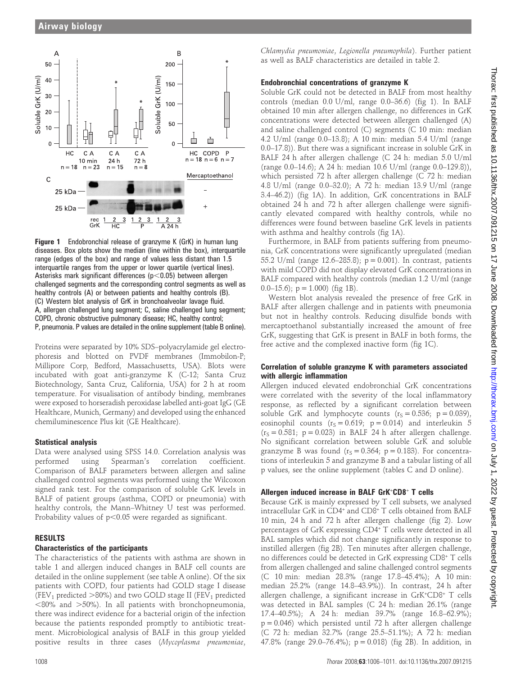

Figure 1 Endobronchial release of granzyme K (GrK) in human lung diseases. Box plots show the median (line within the box), interquartile range (edges of the box) and range of values less distant than 1.5 interquartile ranges from the upper or lower quartile (vertical lines). Asterisks mark significant differences ( $p$ <0.05) between allergen challenged segments and the corresponding control segments as well as healthy controls (A) or between patients and healthy controls (B). (C) Western blot analysis of GrK in bronchoalveolar lavage fluid. A, allergen challenged lung segment; C, saline challenged lung segment; COPD, chronic obstructive pulmonary disease; HC, healthy control; P, pneumonia. P values are detailed in the online supplement (table B online).

Proteins were separated by 10% SDS–polyacrylamide gel electrophoresis and blotted on PVDF membranes (Immobilon-P; Millipore Corp, Bedford, Massachusetts, USA). Blots were incubated with goat anti-granzyme K (C-12; Santa Cruz Biotechnology, Santa Cruz, California, USA) for 2 h at room temperature. For visualisation of antibody binding, membranes were exposed to horseradish peroxidase labelled anti-goat IgG (GE Healthcare, Munich, Germany) and developed using the enhanced chemiluminescence Plus kit (GE Healthcare).

#### Statistical analysis

Data were analysed using SPSS 14.0. Correlation analysis was performed using Spearman's correlation coefficient. Comparison of BALF parameters between allergen and saline challenged control segments was performed using the Wilcoxon signed rank test. For the comparison of soluble GrK levels in BALF of patient groups (asthma, COPD or pneumonia) with healthy controls, the Mann–Whitney U test was performed. Probability values of  $p<0.05$  were regarded as significant.

#### RESULTS

#### Characteristics of the participants

The characteristics of the patients with asthma are shown in table 1 and allergen induced changes in BALF cell counts are detailed in the online supplement (see table A online). Of the six patients with COPD, four patients had GOLD stage I disease (FEV<sub>1</sub> predicted  $>80\%$ ) and two GOLD stage II (FEV<sub>1</sub> predicted  $<$ 80% and  $>$ 50%). In all patients with bronchopneumonia, there was indirect evidence for a bacterial origin of the infection because the patients responded promptly to antibiotic treatment. Microbiological analysis of BALF in this group yielded positive results in three cases (Mycoplasma pneumoniae,

Chlamydia pneumoniae, Legionella pneumophila). Further patient as well as BALF characteristics are detailed in table 2.

#### Endobronchial concentrations of granzyme K

Soluble GrK could not be detected in BALF from most healthy controls (median 0.0 U/ml, range 0.0–36.6) (fig 1). In BALF obtained 10 min after allergen challenge, no differences in GrK concentrations were detected between allergen challenged (A) and saline challenged control (C) segments (C 10 min: median 4.2 U/ml (range 0.0–13.8); A 10 min: median 5.4 U/ml (range 0.0–17.8)). But there was a significant increase in soluble GrK in BALF 24 h after allergen challenge (C 24 h: median 5.0 U/ml (range 0.0–14.6); A 24 h: median 10.6 U/ml (range 0.0–129.8)), which persisted 72 h after allergen challenge (C 72 h: median 4.8 U/ml (range 0.0–32.0); A 72 h: median 13.9 U/ml (range 3.4–46.2)) (fig 1A). In addition, GrK concentrations in BALF obtained 24 h and 72 h after allergen challenge were significantly elevated compared with healthy controls, while no differences were found between baseline GrK levels in patients with asthma and healthy controls (fig 1A).

Furthermore, in BALF from patients suffering from pneumonia, GrK concentrations were significantly upregulated (median 55.2 U/ml (range 12.6–285.8); p = 0.001). In contrast, patients with mild COPD did not display elevated GrK concentrations in BALF compared with healthy controls (median 1.2 U/ml (range 0.0–15.6);  $p = 1.000$  (fig 1B).

Western blot analysis revealed the presence of free GrK in BALF after allergen challenge and in patients with pneumonia but not in healthy controls. Reducing disulfide bonds with mercaptoethanol substantially increased the amount of free GrK, suggesting that GrK is present in BALF in both forms, the free active and the complexed inactive form (fig 1C).

#### Correlation of soluble granzyme K with parameters associated with allergic inflammation

Allergen induced elevated endobronchial GrK concentrations were correlated with the severity of the local inflammatory response, as reflected by a significant correlation between soluble GrK and lymphocyte counts  $(r<sub>S</sub> = 0.536; p = 0.039)$ , eosinophil counts ( $r_s = 0.619$ ;  $p = 0.014$ ) and interleukin 5  $(r<sub>S</sub> = 0.581; p = 0.023)$  in BALF 24 h after allergen challenge. No significant correlation between soluble GrK and soluble granzyme B was found ( $r_S = 0.364$ ;  $p = 0.183$ ). For concentrations of interleukin 5 and granzyme B and a tabular listing of all p values, see the online supplement (tables C and D online).

#### Allergen induced increase in BALF GrK+CD8+ T cells

Because GrK is mainly expressed by T cell subsets, we analysed intracellular GrK in CD4<sup>+</sup> and CD8<sup>+</sup> T cells obtained from BALF 10 min, 24 h and 72 h after allergen challenge (fig 2). Low percentages of GrK expressing CD4<sup>+</sup> T cells were detected in all BAL samples which did not change significantly in response to instilled allergen (fig 2B). Ten minutes after allergen challenge, no differences could be detected in GrK expressing CD8<sup>+</sup> T cells from allergen challenged and saline challenged control segments (C 10 min: median 28.3% (range 17.8–45.4%); A 10 min: median 25.2% (range 14.8–43.9%)). In contrast, 24 h after allergen challenge, a significant increase in GrK<sup>+</sup> CD8<sup>+</sup> T cells was detected in BAL samples (C 24 h: median 26.1% (range 17.4–40.5%); A 24 h: median 39.7% (range 16.8–62.9%);  $p = 0.046$ ) which persisted until 72 h after allergen challenge (C 72 h: median 32.7% (range 25.5–51.1%); A 72 h: median 47.8% (range 29.0–76.4%); p = 0.018) (fig 2B). In addition, in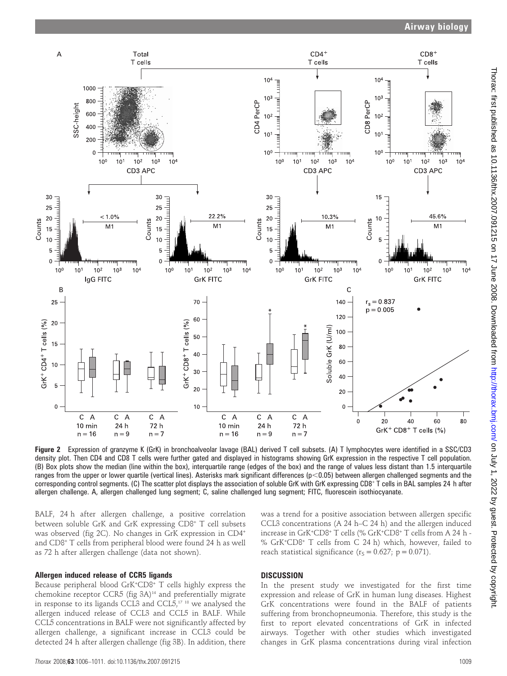

Figure 2 Expression of granzyme K (GrK) in bronchoalveolar lavage (BAL) derived T cell subsets. (A) T lymphocytes were identified in a SSC/CD3 density plot. Then CD4 and CD8 T cells were further gated and displayed in histograms showing GrK expression in the respective T cell population. (B) Box plots show the median (line within the box), interquartile range (edges of the box) and the range of values less distant than 1.5 interquartile ranges from the upper or lower quartile (vertical lines). Asterisks mark significant differences  $(p<0.05)$  between allergen challenged segments and the corresponding control segments. (C) The scatter plot displays the association of soluble GrK with GrK expressing CD8<sup>+</sup> T cells in BAL samples 24 h after allergen challenge. A, allergen challenged lung segment; C, saline challenged lung segment; FITC, fluorescein isothiocyanate.

BALF, 24 h after allergen challenge, a positive correlation between soluble GrK and GrK expressing CD8<sup>+</sup> T cell subsets was observed (fig 2C). No changes in GrK expression in CD4<sup>+</sup> and CD8<sup>+</sup> T cells from peripheral blood were found 24 h as well as 72 h after allergen challenge (data not shown).

#### Allergen induced release of CCR5 ligands

Because peripheral blood GrK<sup>+</sup> CD8<sup>+</sup> T cells highly express the chemokine receptor CCR5 (fig 3A)<sup>14</sup> and preferentially migrate in response to its ligands CCL3 and CCL5,<sup>17 18</sup> we analysed the allergen induced release of CCL3 and CCL5 in BALF. While CCL5 concentrations in BALF were not significantly affected by allergen challenge, a significant increase in CCL3 could be detected 24 h after allergen challenge (fig 3B). In addition, there was a trend for a positive association between allergen specific CCL3 concentrations (A 24 h–C 24 h) and the allergen induced increase in GrK<sup>+</sup> CD8<sup>+</sup> T cells (% GrK<sup>+</sup> CD8<sup>+</sup> T cells from A 24 h - % GrK<sup>+</sup> CD8<sup>+</sup> T cells from C 24 h) which, however, failed to reach statistical significance ( $r_S = 0.627$ ; p = 0.071).

#### **DISCUSSION**

In the present study we investigated for the first time expression and release of GrK in human lung diseases. Highest GrK concentrations were found in the BALF of patients suffering from bronchopneumonia. Therefore, this study is the first to report elevated concentrations of GrK in infected airways. Together with other studies which investigated changes in GrK plasma concentrations during viral infection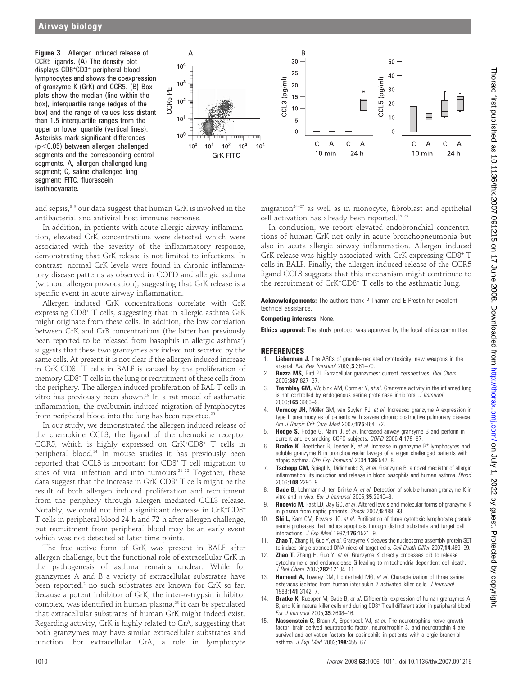Figure 3 Allergen induced release of CCR5 ligands. (A) The density plot displays CD8<sup>+</sup> CD3<sup>+</sup> peripheral blood lymphocytes and shows the coexpression of granzyme K (GrK) and CCR5. (B) Box plots show the median (line within the box), interquartile range (edges of the box) and the range of values less distant than 1.5 interquartile ranges from the upper or lower quartile (vertical lines). Asterisks mark significant differences  $(p<0.05)$  between allergen challenged segments and the corresponding control segments. A, allergen challenged lung segment; C, saline challenged lung segment; FITC, fluorescein isothiocyanate.



and sepsis,<sup>8 9</sup> our data suggest that human GrK is involved in the antibacterial and antiviral host immune response.

In addition, in patients with acute allergic airway inflammation, elevated GrK concentrations were detected which were associated with the severity of the inflammatory response, demonstrating that GrK release is not limited to infections. In contrast, normal GrK levels were found in chronic inflammatory disease patterns as observed in COPD and allergic asthma (without allergen provocation), suggesting that GrK release is a specific event in acute airway inflammation.

Allergen induced GrK concentrations correlate with GrK expressing CD8<sup>+</sup> T cells, suggesting that in allergic asthma GrK might originate from these cells. In addition, the low correlation between GrK and GrB concentrations (the latter has previously been reported to be released from basophils in allergic asthma<sup>7</sup>) suggests that these two granzymes are indeed not secreted by the same cells. At present it is not clear if the allergen induced increase in GrK<sup>+</sup> CD8<sup>+</sup> T cells in BALF is caused by the proliferation of memory CD8<sup>+</sup> T cells in the lung or recruitment of these cells from the periphery. The allergen induced proliferation of BAL T cells in vitro has previously been shown.19 In a rat model of asthmatic inflammation, the ovalbumin induced migration of lymphocytes from peripheral blood into the lung has been reported.<sup>20</sup>

In our study, we demonstrated the allergen induced release of the chemokine CCL3, the ligand of the chemokine receptor CCR5, which is highly expressed on GrK<sup>+</sup> CD8<sup>+</sup> T cells in peripheral blood.14 In mouse studies it has previously been reported that CCL3 is important for CD8<sup>+</sup> T cell migration to sites of viral infection and into tumours.<sup>21 22</sup> Together, these data suggest that the increase in GrK<sup>+</sup> CD8<sup>+</sup> T cells might be the result of both allergen induced proliferation and recruitment from the periphery through allergen mediated CCL3 release. Notably, we could not find a significant decrease in GrK<sup>+</sup> CD8<sup>+</sup> T cells in peripheral blood 24 h and 72 h after allergen challenge, but recruitment from peripheral blood may be an early event which was not detected at later time points.

The free active form of GrK was present in BALF after allergen challenge, but the functional role of extracellular GrK in the pathogenesis of asthma remains unclear. While for granzymes A and B a variety of extracellular substrates have been reported, $2$  no such substrates are known for GrK so far. Because a potent inhibitor of GrK, the inter-a-trypsin inhibitor complex, was identified in human plasma,<sup>23</sup> it can be speculated that extracellular substrates of human GrK might indeed exist. Regarding activity, GrK is highly related to GrA, suggesting that both granzymes may have similar extracellular substrates and function. For extracellular GrA, a role in lymphocyte

migration $24-27$  as well as in monocyte, fibroblast and epithelial cell activation has already been reported.28 29

In conclusion, we report elevated endobronchial concentrations of human GrK not only in acute bronchopneumonia but also in acute allergic airway inflammation. Allergen induced GrK release was highly associated with GrK expressing CD8<sup>+</sup> T cells in BALF. Finally, the allergen induced release of the CCR5 ligand CCL3 suggests that this mechanism might contribute to the recruitment of GrK<sup>+</sup> CD8<sup>+</sup> T cells to the asthmatic lung.

Acknowledgements: The authors thank P Thamm and E Prestin for excellent technical assistance.

#### Competing interests: None.

**Ethics approval:** The study protocol was approved by the local ethics committee.

#### **REFERENCES**

- Lieberman J. The ABCs of granule-mediated cytotoxicity: new weapons in the arsenal. Nat Rev Immunol 2003;3:361-70.
- Buzza MS, Bird Pl. Extracellular granzymes: current perspectives. Biol Chem 2006;387:827–37.
- 3. **Tremblay GM,** Wolbink AM, Cormier Y, et al. Granzyme activity in the inflamed lung is not controlled by endogenous serine proteinase inhibitors. J Immunol 2000;165:3966–9.
- Vernooy JH, Möller GM, van Suylen RJ, et al. Increased granzyme A expression in type II pneumocytes of patients with severe chronic obstructive pulmonary disease. Am J Respir Crit Care Med 2007;175:464-72.
- 5. Hodge S, Hodge G, Nairn J, et al. Increased airway granzyme B and perforin in current and ex-smoking COPD subjects. COPD 2006;4:179–87.
- **Bratke K,** Boettcher B, Leeder K, et al. Increase in granzyme B+ lymphocytes and soluble granzyme B in bronchoalveolar lavage of allergen challenged patients with atopic asthma. Clin Exp Immunol 2004;136:542-8.
- 7. Tschopp CM, Spiegl N, Didichenko S, et al. Granzyme B, a novel mediator of allergic inflammation: its induction and release in blood basophils and human asthma. Blood 2006;108:2290–9.
- 8. Bade B, Lohrmann J, ten Brinke A, et al. Detection of soluble human granzyme K in vitro and in vivo. Eur J Immunol 2005;35:2940-8.
- Rucevic M, Fast LD, Jay GD, et al. Altered levels and molecular forms of granzyme K in plasma from septic patients. Shock 2007;5:488-93.
- 10. Shi L, Kam CM, Powers JC, et al. Purification of three cytotoxic lymphocyte granule serine proteases that induce apoptosis through distinct substrate and target cell interactions. J Exp Med 1992;176:1521–9.
- 11. **Zhao T,** Zhang H, Guo Y, et al. Granzyme K cleaves the nucleosome assembly protein SET to induce single-stranded DNA nicks of target cells. Cell Death Differ 2007;14:489–99.
- 12. **Zhao T,** Zhang H, Guo Y, et al. Granzyme K directly processes bid to release cytochrome c and endonuclease G leading to mitochondria-dependent cell death. J Biol Chem 2007;282:12104–11.
- 13. **Hameed A,** Lowrey DM, Lichtenheld MG, et al. Characterization of three serine esterases isolated from human interleukin 2 activated killer cells. J Immunol 1988;141:3142–7.
- Bratke K, Kuepper M, Bade B, et al. Differential expression of human granzymes A, B, and K in natural killer cells and during CD8<sup>+</sup> T cell differentiation in peripheral blood. Eur J Immunol 2005;35:2608–16.
- 15. Nassenstein C, Braun A, Erpenbeck VJ, et al. The neurotrophins nerve growth factor, brain-derived neurotrophic factor, neurothrophin-3, and neurotrophin-4 are survival and activation factors for eosinophils in patients with allergic bronchial asthma. J Exp Med 2003;198:455-67.